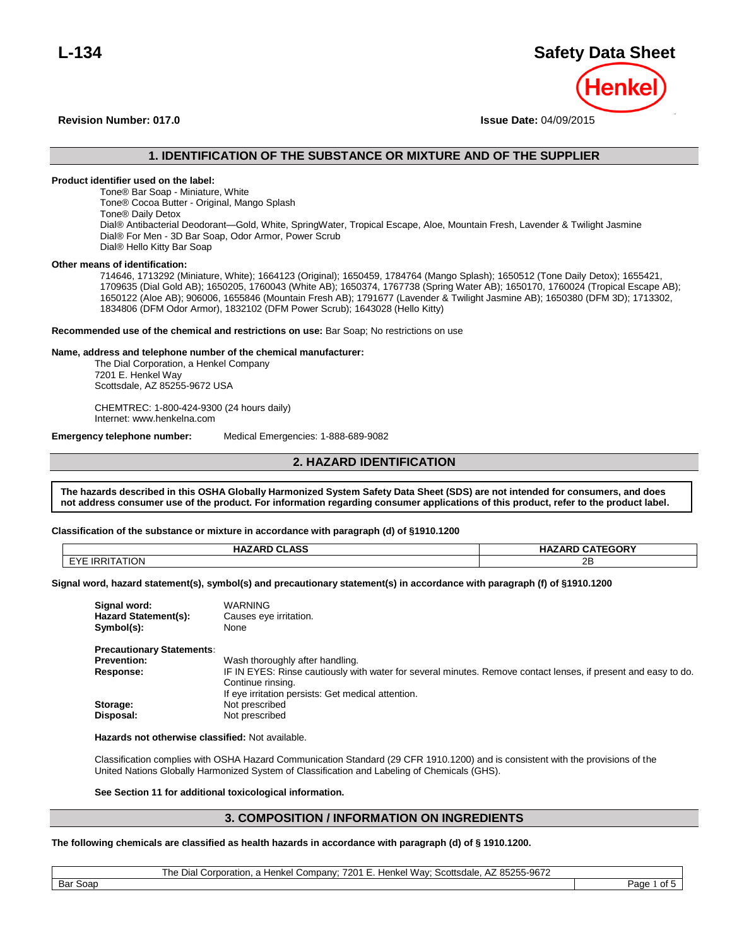# **L-134 Safety Data Sheet**

**Revision Number: 017.0 Issue Date:** 04/09/2015

## **1. IDENTIFICATION OF THE SUBSTANCE OR MIXTURE AND OF THE SUPPLIER**

#### **Product identifier used on the label:**

Tone® Bar Soap - Miniature, White Tone® Cocoa Butter - Original, Mango Splash Tone® Daily Detox Dial® Antibacterial Deodorant—Gold, White, SpringWater, Tropical Escape, Aloe, Mountain Fresh, Lavender & Twilight Jasmine Dial® For Men - 3D Bar Soap, Odor Armor, Power Scrub Dial® Hello Kitty Bar Soap

#### **Other means of identification:**

714646, 1713292 (Miniature, White); 1664123 (Original); 1650459, 1784764 (Mango Splash); 1650512 (Tone Daily Detox); 1655421, 1709635 (Dial Gold AB); 1650205, 1760043 (White AB); 1650374, 1767738 (Spring Water AB); 1650170, 1760024 (Tropical Escape AB); 1650122 (Aloe AB); 906006, 1655846 (Mountain Fresh AB); 1791677 (Lavender & Twilight Jasmine AB); 1650380 (DFM 3D); 1713302, 1834806 (DFM Odor Armor), 1832102 (DFM Power Scrub); 1643028 (Hello Kitty)

#### **Recommended use of the chemical and restrictions on use:** Bar Soap; No restrictions on use

#### **Name, address and telephone number of the chemical manufacturer:**

The Dial Corporation, a Henkel Company 7201 E. Henkel Way Scottsdale, AZ 85255-9672 USA

CHEMTREC: 1-800-424-9300 (24 hours daily) Internet: www.henkelna.com

**Emergency telephone number:** Medical Emergencies: 1-888-689-9082

## **2. HAZARD IDENTIFICATION**

**The hazards described in this OSHA Globally Harmonized System Safety Data Sheet (SDS) are not intended for consumers, and does not address consumer use of the product. For information regarding consumer applications of this product, refer to the product label. described in this OSHA Globally Harmonized System Safety Data Sheet (SDS) are not intended for consumers, and does not address** 

# Classification of the substance or mixture in accordance with paragraph (d) of §1910.1200

| <b>HAZARD CLASS</b>   | <b>HAZARD CATEGORY</b> |
|-----------------------|------------------------|
| <b>EYE IRRITATION</b> | 2B                     |

**Signal word, hazard statement(s), symbol(s) and precautionary statement(s) in accordance with paragraph (f) of §1910.1200**

| Signal word:<br>Hazard Statement(s):<br>Symbol(s): | <b>WARNING</b><br>Causes eye irritation.<br>None                                                               |
|----------------------------------------------------|----------------------------------------------------------------------------------------------------------------|
| <b>Precautionary Statements:</b>                   |                                                                                                                |
| <b>Prevention:</b>                                 | Wash thoroughly after handling.                                                                                |
| Response:                                          | IF IN EYES: Rinse cautiously with water for several minutes. Remove contact lenses, if present and easy to do. |
|                                                    | Continue rinsing.                                                                                              |
|                                                    | If eye irritation persists: Get medical attention.                                                             |
| Storage:                                           | Not prescribed                                                                                                 |
| Disposal:                                          | Not prescribed                                                                                                 |

**Hazards not otherwise classified:** Not available.

Classification complies with OSHA Hazard Communication Standard (29 CFR 1910.1200) and is consistent with the provisions of the United Nations Globally Harmonized System of Classification and Labeling of Chemicals (GHS).

#### **See Section 11 for additional toxicological information.**

## **3. COMPOSITION / INFORMATION ON INGREDIENTS**

#### **The following chemicals are classified as health hazards in accordance with paragraph (d) of § 1910.1200.**

#### The Dial Corporation, a Henkel Company; 7201 E. Henkel Way; Scottsdale, AZ 85255-9672

Bar Soap Page 1 of 5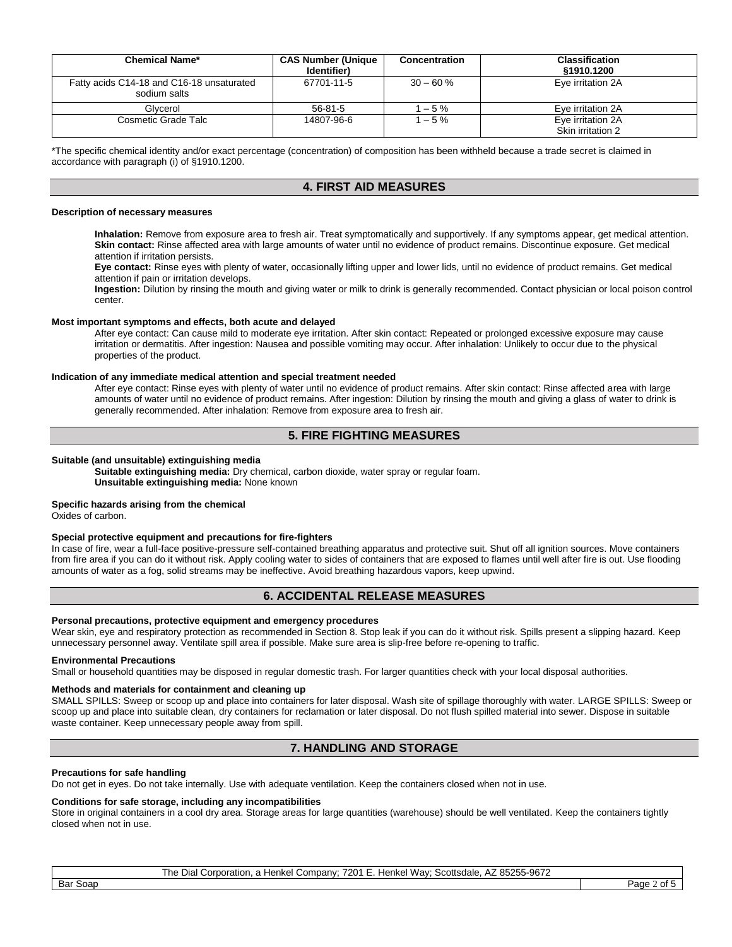| <b>Chemical Name*</b>                                     | <b>CAS Number (Unique</b><br>Identifier) | Concentration | <b>Classification</b><br>§1910.1200 |
|-----------------------------------------------------------|------------------------------------------|---------------|-------------------------------------|
| Fatty acids C14-18 and C16-18 unsaturated<br>sodium salts | 67701-11-5                               | $30 - 60 \%$  | Eye irritation 2A                   |
| Glycerol                                                  | $56 - 81 - 5$                            | $-5%$         | Eve irritation 2A                   |
| Cosmetic Grade Talc                                       | 14807-96-6                               | $-5%$         | Eye irritation 2A                   |
|                                                           |                                          |               | Skin irritation 2                   |

\*The specific chemical identity and/or exact percentage (concentration) of composition has been withheld because a trade secret is claimed in accordance with paragraph (i) of §1910.1200.

## **4. FIRST AID MEASURES**

#### **Description of necessary measures**

**Inhalation:** Remove from exposure area to fresh air. Treat symptomatically and supportively. If any symptoms appear, get medical attention. **Skin contact:** Rinse affected area with large amounts of water until no evidence of product remains. Discontinue exposure. Get medical attention if irritation persists.

**Eye contact:** Rinse eyes with plenty of water, occasionally lifting upper and lower lids, until no evidence of product remains. Get medical attention if pain or irritation develops.

**Ingestion:** Dilution by rinsing the mouth and giving water or milk to drink is generally recommended. Contact physician or local poison control center.

#### **Most important symptoms and effects, both acute and delayed**

After eye contact: Can cause mild to moderate eye irritation. After skin contact: Repeated or prolonged excessive exposure may cause irritation or dermatitis. After ingestion: Nausea and possible vomiting may occur. After inhalation: Unlikely to occur due to the physical properties of the product.

#### **Indication of any immediate medical attention and special treatment needed**

After eye contact: Rinse eyes with plenty of water until no evidence of product remains. After skin contact: Rinse affected area with large amounts of water until no evidence of product remains. After ingestion: Dilution by rinsing the mouth and giving a glass of water to drink is generally recommended. After inhalation: Remove from exposure area to fresh air.

## **5. FIRE FIGHTING MEASURES**

#### **Suitable (and unsuitable) extinguishing media**

**Suitable extinguishing media:** Dry chemical, carbon dioxide, water spray or regular foam. **Unsuitable extinguishing media:** None known

#### **Specific hazards arising from the chemical**

Oxides of carbon.

#### **Special protective equipment and precautions for fire-fighters**

In case of fire, wear a full-face positive-pressure self-contained breathing apparatus and protective suit. Shut off all ignition sources. Move containers from fire area if you can do it without risk. Apply cooling water to sides of containers that are exposed to flames until well after fire is out. Use flooding amounts of water as a fog, solid streams may be ineffective. Avoid breathing hazardous vapors, keep upwind.

## **6. ACCIDENTAL RELEASE MEASURES**

#### **Personal precautions, protective equipment and emergency procedures**

Wear skin, eye and respiratory protection as recommended in Section 8. Stop leak if you can do it without risk. Spills present a slipping hazard. Keep unnecessary personnel away. Ventilate spill area if possible. Make sure area is slip-free before re-opening to traffic.

#### **Environmental Precautions**

Small or household quantities may be disposed in regular domestic trash. For larger quantities check with your local disposal authorities.

#### **Methods and materials for containment and cleaning up**

SMALL SPILLS: Sweep or scoop up and place into containers for later disposal. Wash site of spillage thoroughly with water. LARGE SPILLS: Sweep or scoop up and place into suitable clean, dry containers for reclamation or later disposal. Do not flush spilled material into sewer. Dispose in suitable waste container. Keep unnecessary people away from spill.

## **7. HANDLING AND STORAGE**

#### **Precautions for safe handling**

Do not get in eyes. Do not take internally. Use with adequate ventilation. Keep the containers closed when not in use.

#### **Conditions for safe storage, including any incompatibilities**

Store in original containers in a cool dry area. Storage areas for large quantities (warehouse) should be well ventilated. Keep the containers tightly closed when not in use.

The Dial Corporation, a Henkel Company; 7201 E. Henkel Way; Scottsdale, AZ 85255-9672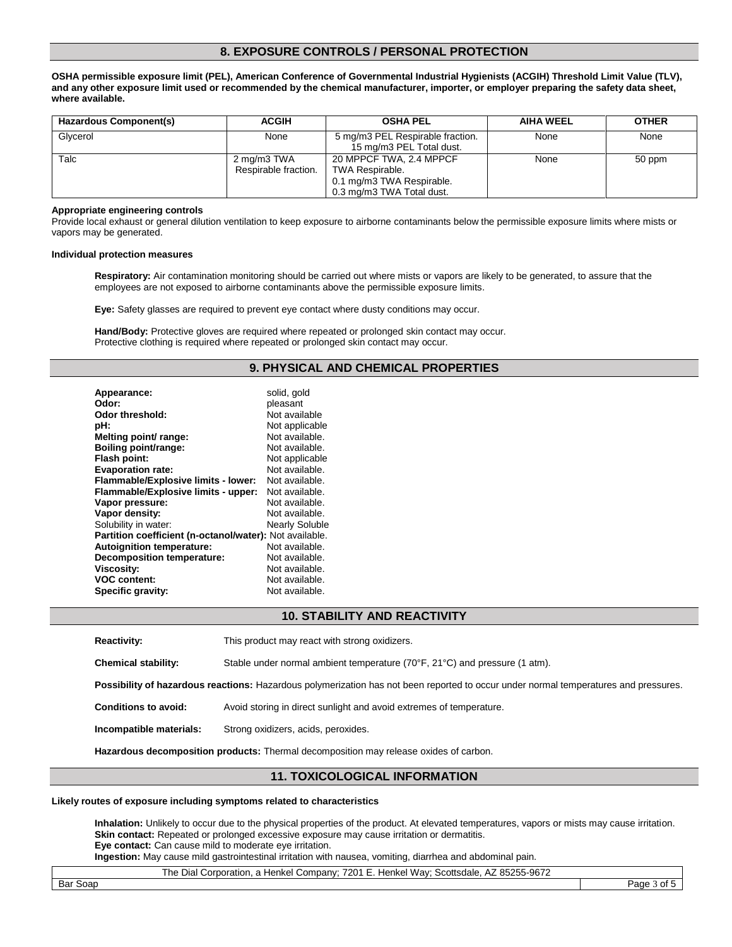## **8. EXPOSURE CONTROLS / PERSONAL PROTECTION**

**OSHA permissible exposure limit (PEL), American Conference of Governmental Industrial Hygienists (ACGIH) Threshold Limit Value (TLV), and any other exposure limit used or recommended by the chemical manufacturer, importer, or employer preparing the safety data sheet, where available.**

| Hazardous Component(s) | <b>ACGIH</b>                        | <b>OSHA PEL</b>                                                                                      | <b>AIHA WEEL</b> | <b>OTHER</b> |
|------------------------|-------------------------------------|------------------------------------------------------------------------------------------------------|------------------|--------------|
| Glycerol               | None                                | 5 mg/m3 PEL Respirable fraction.<br>15 mg/m3 PEL Total dust.                                         | None             | None         |
| Talc                   | 2 mg/m3 TWA<br>Respirable fraction. | 20 MPPCF TWA, 2.4 MPPCF<br>TWA Respirable.<br>0.1 mg/m3 TWA Respirable.<br>0.3 mg/m3 TWA Total dust. | None             | 50 ppm       |

#### **Appropriate engineering controls**

Provide local exhaust or general dilution ventilation to keep exposure to airborne contaminants below the permissible exposure limits where mists or vapors may be generated.

#### **Individual protection measures**

**Respiratory:** Air contamination monitoring should be carried out where mists or vapors are likely to be generated, to assure that the employees are not exposed to airborne contaminants above the permissible exposure limits.

**Eye:** Safety glasses are required to prevent eye contact where dusty conditions may occur.

**Hand/Body:** Protective gloves are required where repeated or prolonged skin contact may occur. Protective clothing is required where repeated or prolonged skin contact may occur.

## **9. PHYSICAL AND CHEMICAL PROPERTIES**

| Appearance:<br>Odor:                                    | solid, gold<br>pleasant |
|---------------------------------------------------------|-------------------------|
| Odor threshold:                                         | Not available           |
| pH:                                                     | Not applicable          |
|                                                         | Not available.          |
| Melting point/ range:                                   |                         |
| Boiling point/range:                                    | Not available.          |
| Flash point:                                            | Not applicable          |
| <b>Evaporation rate:</b>                                | Not available.          |
| Flammable/Explosive limits - lower:                     | Not available.          |
| Flammable/Explosive limits - upper:                     | Not available.          |
| Vapor pressure:                                         | Not available.          |
| Vapor density:                                          | Not available.          |
| Solubility in water:                                    | <b>Nearly Soluble</b>   |
| Partition coefficient (n-octanol/water): Not available. |                         |
| <b>Autoignition temperature:</b>                        | Not available.          |
| <b>Decomposition temperature:</b>                       | Not available.          |
| <b>Viscosity:</b>                                       | Not available.          |
| <b>VOC content:</b>                                     | Not available.          |
| Specific gravity:                                       | Not available.          |

## **10. STABILITY AND REACTIVITY**

| <b>Reactivity:</b>                                                                    | This product may react with strong oxidizers.                                                                                        |  |
|---------------------------------------------------------------------------------------|--------------------------------------------------------------------------------------------------------------------------------------|--|
| <b>Chemical stability:</b>                                                            | Stable under normal ambient temperature $(70^{\circ}F, 21^{\circ}C)$ and pressure (1 atm).                                           |  |
|                                                                                       | Possibility of hazardous reactions: Hazardous polymerization has not been reported to occur under normal temperatures and pressures. |  |
| <b>Conditions to avoid:</b>                                                           | Avoid storing in direct sunlight and avoid extremes of temperature.                                                                  |  |
| Incompatible materials:                                                               | Strong oxidizers, acids, peroxides.                                                                                                  |  |
| Hazardous decomposition products: Thermal decomposition may release oxides of carbon. |                                                                                                                                      |  |

## **11. TOXICOLOGICAL INFORMATION**

#### **Likely routes of exposure including symptoms related to characteristics**

**Inhalation:** Unlikely to occur due to the physical properties of the product. At elevated temperatures, vapors or mists may cause irritation. **Skin contact:** Repeated or prolonged excessive exposure may cause irritation or dermatitis. **Eye contact:** Can cause mild to moderate eye irritation.

**Ingestion:** May cause mild gastrointestinal irritation with nausea, vomiting, diarrhea and abdominal pain.

The Dial Corporation, a Henkel Company; 7201 E. Henkel Way; Scottsdale, AZ 85255-9672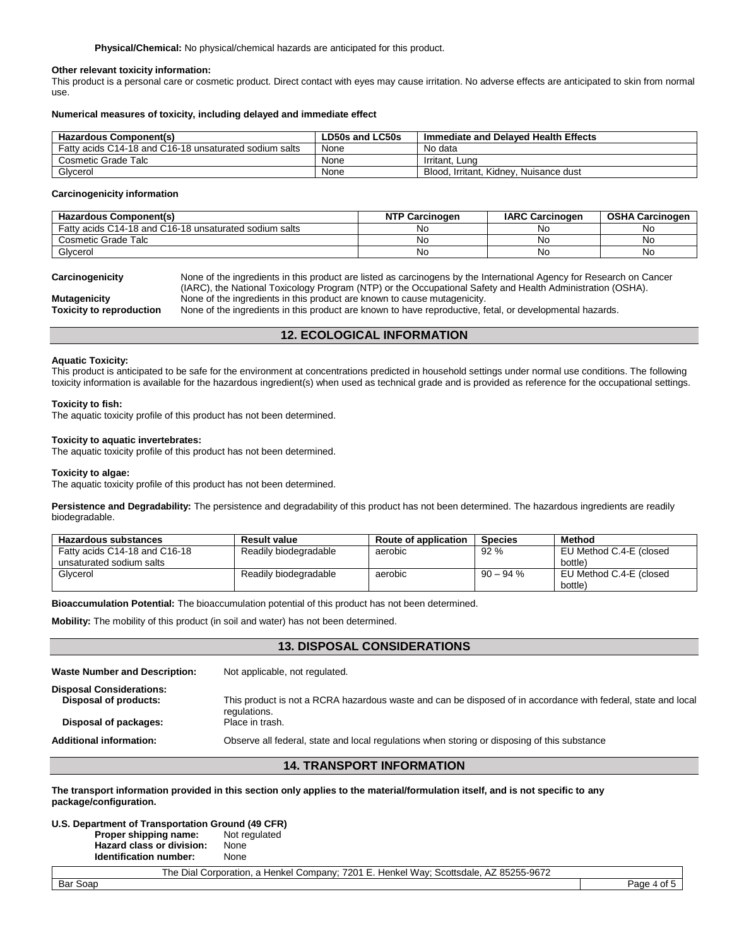#### **Other relevant toxicity information:**

This product is a personal care or cosmetic product. Direct contact with eyes may cause irritation. No adverse effects are anticipated to skin from normal use.

#### **Numerical measures of toxicity, including delayed and immediate effect**

| <b>Hazardous Component(s)</b>                          | LD50s and LC50s | Immediate and Delaved Health Effects   |
|--------------------------------------------------------|-----------------|----------------------------------------|
| Fatty acids C14-18 and C16-18 unsaturated sodium salts | None            | No data                                |
| Cosmetic Grade Talc                                    | None            | Irritant. Lung                         |
| Glycerol                                               | None            | Blood, Irritant, Kidney, Nuisance dust |

#### **Carcinogenicity information**

| <b>Hazardous Component(s)</b>                          | <b>NTP Carcinogen</b> | <b>IARC Carcinogen</b> | <b>OSHA Carcinogen</b> |
|--------------------------------------------------------|-----------------------|------------------------|------------------------|
| Fatty acids C14-18 and C16-18 unsaturated sodium salts | No                    | N0                     | No                     |
| Cosmetic Grade Talc                                    | No                    | No                     | No                     |
| Glycerol                                               | No                    | No                     | No                     |

| Carcinogenicity          | None of the ingredients in this product are listed as carcinogens by the International Agency for Research on Cancer |
|--------------------------|----------------------------------------------------------------------------------------------------------------------|
|                          | (IARC), the National Toxicology Program (NTP) or the Occupational Safety and Health Administration (OSHA).           |
| Mutagenicity             | None of the ingredients in this product are known to cause mutagenicity.                                             |
| Toxicity to reproduction | None of the ingredients in this product are known to have reproductive, fetal, or developmental hazards.             |

**12. ECOLOGICAL INFORMATION**

#### **Aquatic Toxicity:**

This product is anticipated to be safe for the environment at concentrations predicted in household settings under normal use conditions. The following toxicity information is available for the hazardous ingredient(s) when used as technical grade and is provided as reference for the occupational settings.

#### **Toxicity to fish:**

The aquatic toxicity profile of this product has not been determined.

#### **Toxicity to aquatic invertebrates:**

The aquatic toxicity profile of this product has not been determined.

#### **Toxicity to algae:**

The aquatic toxicity profile of this product has not been determined.

**Persistence and Degradability:** The persistence and degradability of this product has not been determined. The hazardous ingredients are readily biodegradable.

| <b>Hazardous substances</b>   | <b>Result value</b>   | Route of application | <b>Species</b> | <b>Method</b>           |
|-------------------------------|-----------------------|----------------------|----------------|-------------------------|
| Fatty acids C14-18 and C16-18 | Readily biodegradable | aerobic              | 92%            | EU Method C.4-E (closed |
| unsaturated sodium salts      |                       |                      |                | bottle)                 |
| Glycerol                      | Readily biodegradable | aerobic              | $90 - 94$ %    | EU Method C.4-E (closed |
|                               |                       |                      |                | bottle)                 |

**Bioaccumulation Potential:** The bioaccumulation potential of this product has not been determined.

**Mobility:** The mobility of this product (in soil and water) has not been determined.

#### **13. DISPOSAL CONSIDERATIONS**

| <b>Additional information:</b>                           | Observe all federal, state and local regulations when storing or disposing of this substance                  |
|----------------------------------------------------------|---------------------------------------------------------------------------------------------------------------|
| Disposal of packages:                                    | regulations.<br>Place in trash.                                                                               |
| <b>Disposal Considerations:</b><br>Disposal of products: | This product is not a RCRA hazardous waste and can be disposed of in accordance with federal, state and local |
| <b>Waste Number and Description:</b>                     | Not applicable, not regulated.                                                                                |

#### **14. TRANSPORT INFORMATION**

**The transport information provided in this section only applies to the material/formulation itself, and is not specific to any package/configuration.**

## **U.S. Department of Transportation Ground (49 CFR)**

**Proper shipping name:** Not regulated **Hazard class or division:** None **Identification number:** None

The Dial Corporation, a Henkel Company; 7201 E. Henkel Way; Scottsdale, AZ 85255-9672 Bar Soap Page 4 of 5